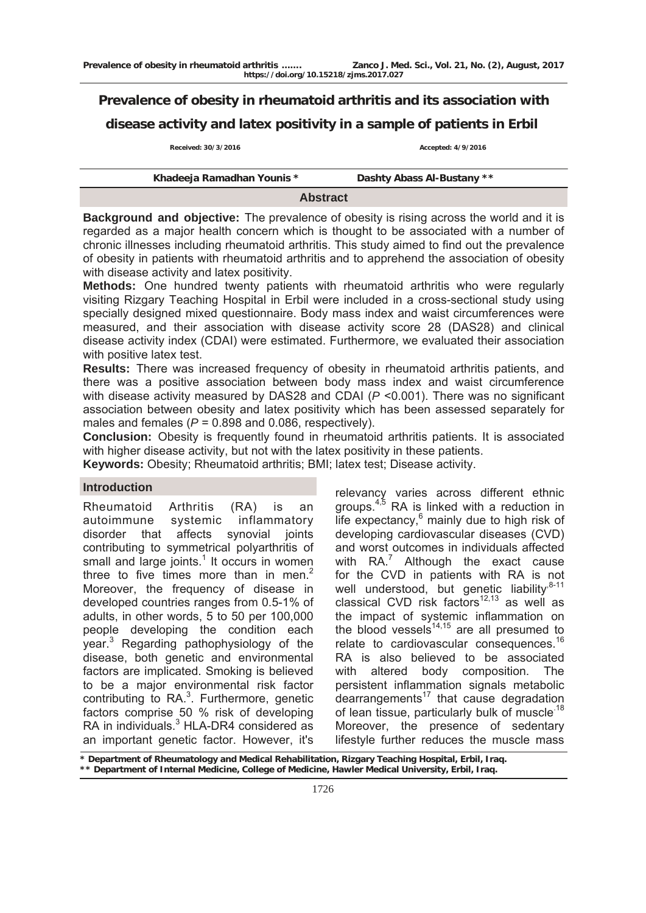# **Prevalence of obesity in rheumatoid arthritis and its association with disease activity and latex positivity in a sample of patients in Erbil**

**Received: 30/3/2016 Accepted: 4/9/2016** 

| Khadeeja Ramadhan Younis * | Dashty Abass Al-Bustany ** |  |  |  |  |
|----------------------------|----------------------------|--|--|--|--|
| <b>Abstract</b>            |                            |  |  |  |  |

**Background and objective:** The prevalence of obesity is rising across the world and it is regarded as a major health concern which is thought to be associated with a number of chronic illnesses including rheumatoid arthritis. This study aimed to find out the prevalence of obesity in patients with rheumatoid arthritis and to apprehend the association of obesity with disease activity and latex positivity.

**Methods:** One hundred twenty patients with rheumatoid arthritis who were regularly visiting Rizgary Teaching Hospital in Erbil were included in a cross-sectional study using specially designed mixed questionnaire. Body mass index and waist circumferences were measured, and their association with disease activity score 28 (DAS28) and clinical disease activity index (CDAI) were estimated. Furthermore, we evaluated their association with positive latex test.

**Results:** There was increased frequency of obesity in rheumatoid arthritis patients, and there was a positive association between body mass index and waist circumference with disease activity measured by DAS28 and CDAI ( $P$  <0.001). There was no significant association between obesity and latex positivity which has been assessed separately for males and females (*P* = 0.898 and 0.086, respectively).

**Conclusion:** Obesity is frequently found in rheumatoid arthritis patients. It is associated with higher disease activity, but not with the latex positivity in these patients.

**Keywords:** Obesity; Rheumatoid arthritis; BMI; latex test; Disease activity.

## **Introduction**

Rheumatoid Arthritis (RA) is an autoimmune systemic inflammatory disorder that affects synovial joints contributing to symmetrical polyarthritis of small and large joints. $1$  It occurs in women three to five times more than in men. $<sup>2</sup>$ </sup> Moreover, the frequency of disease in developed countries ranges from 0.5-1% of adults, in other words, 5 to 50 per 100,000 people developing the condition each year.<sup>3</sup> Regarding pathophysiology of the disease, both genetic and environmental factors are implicated. Smoking is believed to be a major environmental risk factor contributing to  $RA<sup>3</sup>$ . Furthermore, genetic factors comprise 50 % risk of developing RA in individuals.<sup>3</sup> HLA-DR4 considered as an important genetic factor. However, it's

relevancy varies across different ethnic groups. $4,5$  RA is linked with a reduction in life expectancy, $6$  mainly due to high risk of developing cardiovascular diseases (CVD) and worst outcomes in individuals affected with  $RA.^7$  $RA.^7$  Although the exact cause for the CVD in patients with RA is not well understood, but genetic liability $8-11$ classical CVD risk factors<sup>12,13</sup> as well as the impact of systemic inflammation on the blood vessels<sup>[14](http://rheumatology.oxfordjournals.org/content/early/2010/10/18/rheumatology.keq266.full#ref-13),[1](http://rheumatology.oxfordjournals.org/content/early/2010/10/18/rheumatology.keq266.full#ref-14)5</sup> are all presumed to relate to cardiovascular consequences.<sup>16</sup> RA is also believed to be associated with altered body composition. The persistent inflammation signals metabolic  $dearrangements<sup>17</sup>$  that cause degradation of lean tissue, particularly bulk of muscle.<sup>18</sup> Moreover, the presence of sedentary lifestyle further reduces the muscle mass

**\* Department of Rheumatology and Medical Rehabilitation, Rizgary Teaching Hospital, Erbil, Iraq. \*\* Department of Internal Medicine, College of Medicine, Hawler Medical University, Erbil, Iraq.**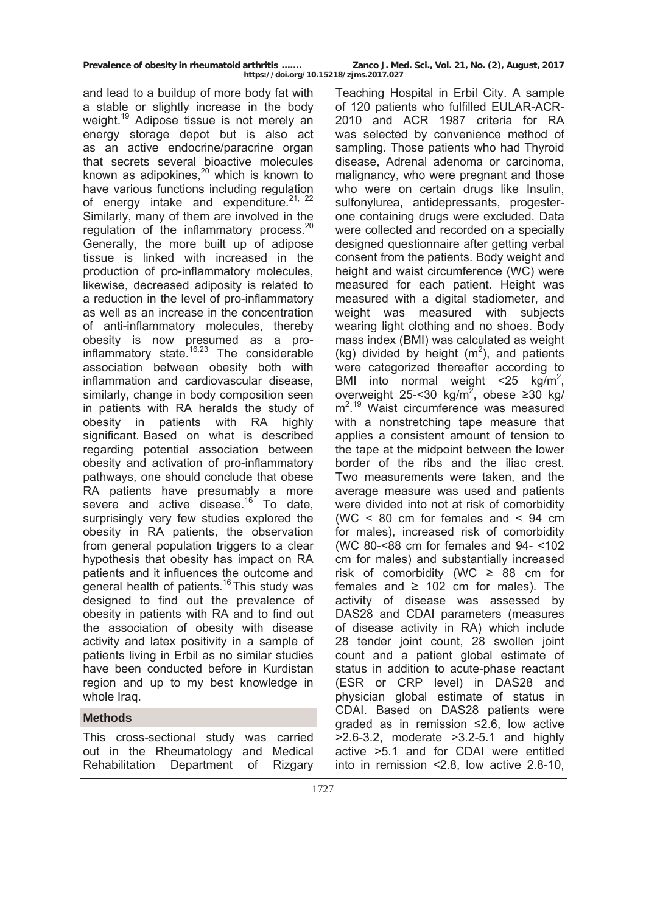| Prevalence of obesity in rheumatoid arthritis | Zanco J. Med. Sci., Vol. 21, No. (2), August, 2017 |  |  |  |
|-----------------------------------------------|----------------------------------------------------|--|--|--|
| https://doi.org/10.15218/zjms.2017.027        |                                                    |  |  |  |

and lead to a buildup of more body fat with a stable or slightly increase in the body weight.<sup>19</sup> Adipose tissue is not merely an energy storage depot but is also act as an active endocrine/paracrine organ that secrets several bioactive molecules known as adipokines, $20$  which is known to have various functions including regulation of energy intake and expenditure. $21, 22$ Similarly, many of them are involved in the regulation of the inflammatory process.<sup>20</sup> Generally, the more built up of adipose tissue is linked with increased in the production of pro-inflammatory molecules, likewise, decreased adiposity is related to a reduction in the level of pro-inflammatory as well as an increase in the concentration of anti-inflammatory molecules, thereby obesity is now presumed as a proinflammatory state.16,23 The considerable association between obesity both with inflammation and cardiovascular disease, similarly, change in body composition seen in patients with RA heralds the study of obesity in patients with RA highly significant. Based on what is described regarding potential association between obesity and activation of pro-inflammatory pathways, one should conclude that obese RA patients have presumably a more severe and active disease.<sup>16</sup> To date, surprisingly very few studies explored the obesity in RA patients, the observation from general population triggers to a clear hypothesis that obesity has impact on RA patients and it influences the outcome and general health of patients.<sup>16</sup> This study was designed to find out the prevalence of obesity in patients with RA and to find out the association of obesity with disease activity and latex positivity in a sample of patients living in Erbil as no similar studies have been conducted before in Kurdistan region and up to my best knowledge in whole Iraq.

## **Methods**

This cross-sectional study was carried out in the Rheumatology and Medical Rehabilitation Department of Rizgary

Teaching Hospital in Erbil City. A sample of 120 patients who fulfilled EULAR-ACR-2010 and ACR 1987 criteria for RA was selected by convenience method of sampling. Those patients who had Thyroid disease, Adrenal adenoma or carcinoma, malignancy, who were pregnant and those who were on certain drugs like Insulin, sulfonylurea, antidepressants, progesterone containing drugs were excluded. Data were collected and recorded on a specially designed questionnaire after getting verbal consent from the patients. Body weight and height and waist circumference (WC) were measured for each patient. Height was measured with a digital stadiometer, and weight was measured with subjects wearing light clothing and no shoes. Body mass index (BMI) was calculated as weight (kg) divided by height  $(m<sup>2</sup>)$ , and patients were categorized thereafter according to BMI into normal weight  $\leq$  25 kg/m<sup>2</sup>, overweight 25-<30 kg/m<sup>2</sup>, obese ≥30 kg/ m2 . 19 Waist circumference was measured with a nonstretching tape measure that applies a consistent amount of tension to the tape at the midpoint between the lower border of the ribs and the iliac crest. Two measurements were taken, and the average measure was used and patients were divided into not at risk of comorbidity (WC  $\leq$  80 cm for females and  $\leq$  94 cm for males), increased risk of comorbidity (WC 80-<88 cm for females and 94- <102 cm for males) and substantially increased risk of comorbidity (WC  $\geq$  88 cm for females and  $\geq$  102 cm for males). The activity of disease was assessed by DAS28 and CDAI parameters (measures of disease activity in RA) which include 28 tender joint count, 28 swollen joint count and a patient global estimate of status in addition to acute-phase reactant (ESR or CRP level) in DAS28 and physician global estimate of status in CDAI. Based on DAS28 patients were graded as in remission ≤2.6, low active >2.6-3.2, moderate >3.2-5.1 and highly active >5.1 and for CDAI were entitled into in remission <2.8, low active 2.8-10,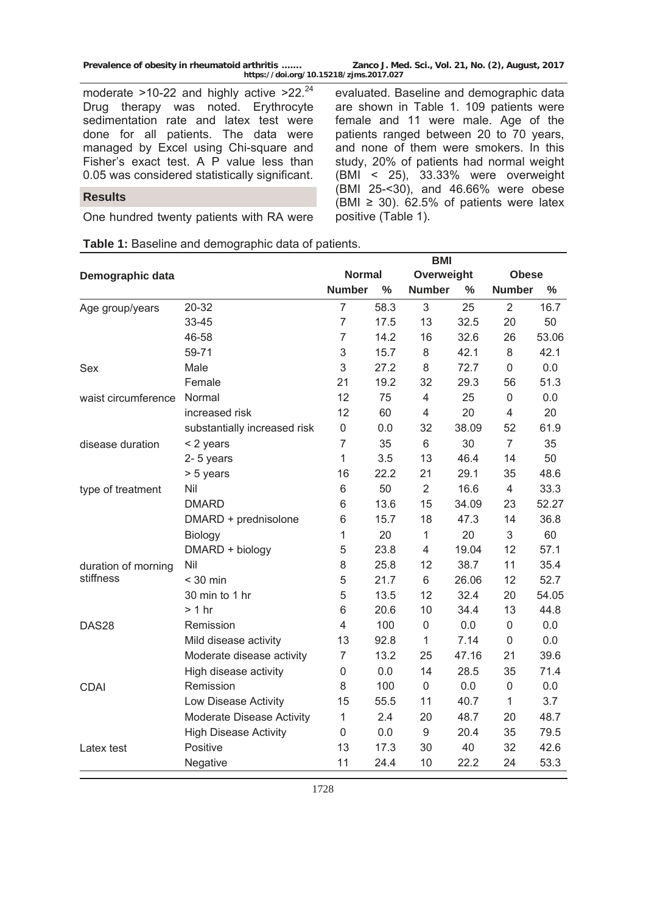moderate  $>10-22$  and highly active  $>22.^{24}$ Drug therapy was noted. Erythrocyte sedimentation rate and latex test were done for all patients. The data were managed by Excel using Chi-square and Fisher's exact test. A P value less than 0.05 was considered statistically significant.

evaluated. Baseline and demographic data are shown in Table 1. 109 patients were female and 11 were male. Age of the patients ranged between 20 to 70 years, and none of them were smokers. In this study, 20% of patients had normal weight (BMI < 25), 33.33% were overweight (BMI 25-<30), and 46.66% were obese (BMI  $\geq$  30). 62.5% of patients were latex positive (Table 1).

#### **Results**

One hundred twenty patients with RA were

|                     |                              |                  |               |                | <b>BMI</b> |                  |       |  |
|---------------------|------------------------------|------------------|---------------|----------------|------------|------------------|-------|--|
| Demographic data    |                              | Normal           |               | Overweight     |            | <b>Obese</b>     |       |  |
|                     |                              | <b>Number</b>    | $\frac{0}{0}$ | <b>Number</b>  | $\%$       | <b>Number</b>    | %     |  |
| Age group/years     | 20-32                        | $\overline{7}$   | 58.3          | 3              | 25         | $\overline{2}$   | 16.7  |  |
|                     | 33-45                        | $\overline{7}$   | 17.5          | 13             | 32.5       | 20               | 50    |  |
|                     | 46-58                        | $\overline{7}$   | 14.2          | 16             | 32.6       | 26               | 53.06 |  |
|                     | 59-71                        | 3                | 15.7          | 8              | 42.1       | 8                | 42.1  |  |
| Sex                 | Male                         | 3                | 27.2          | 8              | 72.7       | $\mathbf 0$      | 0.0   |  |
|                     | Female                       | 21               | 19.2          | 32             | 29.3       | 56               | 51.3  |  |
| waist circumference | Normal                       | 12               | 75            | 4              | 25         | $\boldsymbol{0}$ | 0.0   |  |
|                     | increased risk               | 12               | 60            | 4              | 20         | 4                | 20    |  |
|                     | substantially increased risk | $\mathsf 0$      | 0.0           | 32             | 38.09      | 52               | 61.9  |  |
| disease duration    | < 2 years                    | $\overline{7}$   | 35            | 6              | 30         | $\overline{7}$   | 35    |  |
|                     | 2-5 years                    | $\mathbf{1}$     | 3.5           | 13             | 46.4       | 14               | 50    |  |
|                     | > 5 years                    | 16               | 22.2          | 21             | 29.1       | 35               | 48.6  |  |
| type of treatment   | Nil                          | 6                | 50            | $\overline{2}$ | 16.6       | $\overline{4}$   | 33.3  |  |
|                     | <b>DMARD</b>                 | 6                | 13.6          | 15             | 34.09      | 23               | 52.27 |  |
|                     | DMARD + prednisolone         | 6                | 15.7          | 18             | 47.3       | 14               | 36.8  |  |
|                     | Biology                      | $\mathbf{1}$     | 20            | $\mathbf{1}$   | 20         | 3                | 60    |  |
|                     | DMARD + biology              | 5                | 23.8          | $\overline{4}$ | 19.04      | 12               | 57.1  |  |
| duration of morning | Nil                          | 8                | 25.8          | 12             | 38.7       | 11               | 35.4  |  |
| stiffness           | $<$ 30 min                   | 5                | 21.7          | 6              | 26.06      | 12               | 52.7  |  |
|                     | 30 min to 1 hr               | 5                | 13.5          | 12             | 32.4       | 20               | 54.05 |  |
|                     | > 1 hr                       | 6                | 20.6          | 10             | 34.4       | 13               | 44.8  |  |
| DAS28               | Remission                    | 4                | 100           | 0              | 0.0        | 0                | 0.0   |  |
|                     | Mild disease activity        | 13               | 92.8          | 1              | 7.14       | 0                | 0.0   |  |
|                     | Moderate disease activity    | $\overline{7}$   | 13.2          | 25             | 47.16      | 21               | 39.6  |  |
|                     | High disease activity        | $\mathsf 0$      | 0.0           | 14             | 28.5       | 35               | 71.4  |  |
| <b>CDAI</b>         | Remission                    | 8                | 100           | $\mathbf 0$    | 0.0        | $\mathbf 0$      | 0.0   |  |
|                     | Low Disease Activity         | 15               | 55.5          | 11             | 40.7       | $\mathbf{1}$     | 3.7   |  |
|                     | Moderate Disease Activity    | $\mathbf{1}$     | 2.4           | 20             | 48.7       | 20               | 48.7  |  |
|                     | <b>High Disease Activity</b> | $\boldsymbol{0}$ | 0.0           | 9              | 20.4       | 35               | 79.5  |  |
| Latex test          | Positive                     | 13               | 17.3          | 30             | 40         | 32               | 42.6  |  |
|                     | Negative                     | 11               | 24.4          | 10             | 22.2       | 24               | 53.3  |  |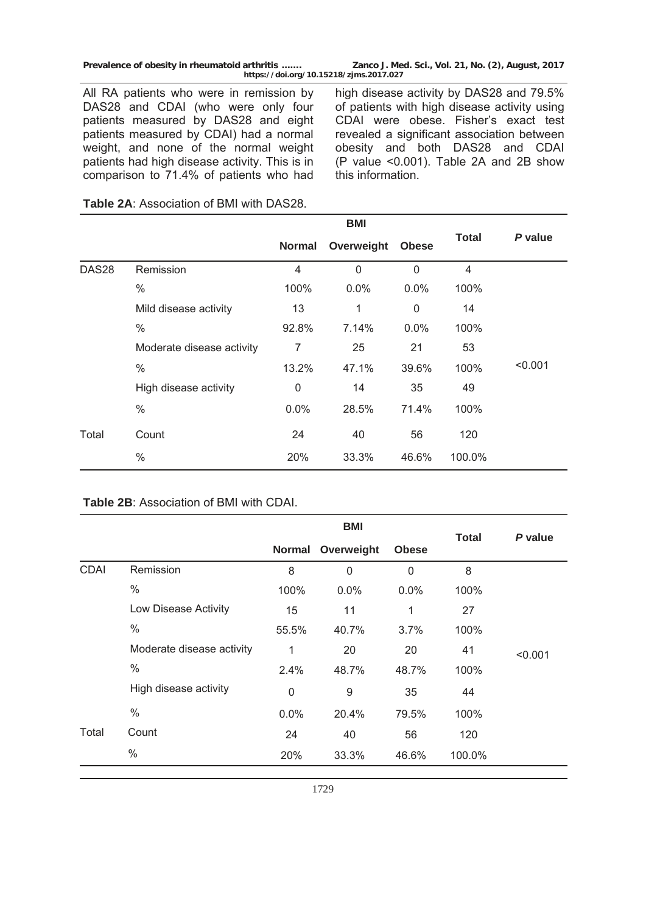**Prevalence of obesity in rheumatoid arthritis ……. Zanco J. Med. Sci., Vol. 21, No. (2), August, 2017** 

**https://doi.org/10.15218/zjms.2017.027**

All RA patients who were in remission by DAS28 and CDAI (who were only four patients measured by DAS28 and eight patients measured by CDAI) had a normal weight, and none of the normal weight patients had high disease activity. This is in comparison to 71.4% of patients who had high disease activity by DAS28 and 79.5% of patients with high disease activity using CDAI were obese. Fisher's exact test revealed a significant association between obesity and both DAS28 and CDAI (P value <0.001). Table 2A and 2B show this information.

|                   |                           |                | <b>BMI</b>   |              |              |         |
|-------------------|---------------------------|----------------|--------------|--------------|--------------|---------|
|                   |                           | <b>Normal</b>  | Overweight   | <b>Obese</b> | <b>Total</b> | P value |
| DAS <sub>28</sub> | Remission                 | $\overline{4}$ | $\mathbf{0}$ | 0            | 4            |         |
|                   | $\%$                      | 100%           | $0.0\%$      | $0.0\%$      | 100%         |         |
|                   | Mild disease activity     | 13             | 1            | 0            | 14           |         |
|                   | $\%$                      | 92.8%          | 7.14%        | $0.0\%$      | 100%         |         |
|                   | Moderate disease activity | 7              | 25           | 21           | 53           |         |
|                   | $\%$                      | 13.2%          | 47.1%        | 39.6%        | 100%         | < 0.001 |
|                   | High disease activity     | 0              | 14           | 35           | 49           |         |
|                   | $\%$                      | $0.0\%$        | 28.5%        | 71.4%        | 100%         |         |
| Total             | Count                     | 24             | 40           | 56           | 120          |         |
|                   | $\%$                      | 20%            | 33.3%        | 46.6%        | 100.0%       |         |

**Table 2A**: Association of BMI with DAS28.

#### **Table 2B**: Association of BMI with CDAI.

|             |                           |               | <b>BMI</b>   |              |              | P value |
|-------------|---------------------------|---------------|--------------|--------------|--------------|---------|
|             |                           | <b>Normal</b> | Overweight   | <b>Obese</b> | <b>Total</b> |         |
| <b>CDAI</b> | Remission                 | 8             | $\mathbf{0}$ | 0            | 8            |         |
|             | $\%$                      | 100%          | $0.0\%$      | 0.0%         | 100%         |         |
|             | Low Disease Activity      | 15            | 11           | 1            | 27           |         |
|             | $\%$                      | 55.5%         | 40.7%        | 3.7%         | 100%         |         |
|             | Moderate disease activity | 1             | 20           | 20           | 41           | < 0.001 |
|             | $\%$                      | 2.4%          | 48.7%        | 48.7%        | 100%         |         |
|             | High disease activity     | $\mathbf 0$   | 9            | 35           | 44           |         |
|             | $\%$                      | 0.0%          | 20.4%        | 79.5%        | 100%         |         |
| Total       | Count                     | 24            | 40           | 56           | 120          |         |
|             | $\%$                      | 20%           | 33.3%        | 46.6%        | 100.0%       |         |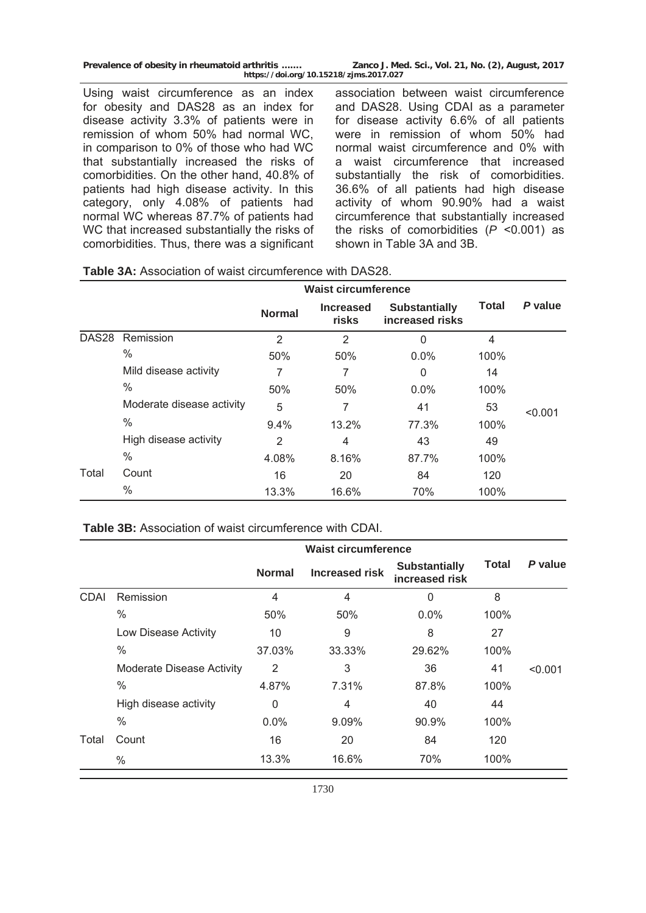| Prevalence of obesity in rheumatoid arthritis | Zanco J. Med. Sci., Vol. 21, No. (2), August, 2017 |  |  |  |  |  |
|-----------------------------------------------|----------------------------------------------------|--|--|--|--|--|
| https://doi.org/10.15218/zjms.2017.027        |                                                    |  |  |  |  |  |

Using waist circumference as an index for obesity and DAS28 as an index for disease activity 3.3% of patients were in remission of whom 50% had normal WC, in comparison to 0% of those who had WC that substantially increased the risks of comorbidities. On the other hand, 40.8% of patients had high disease activity. In this category, only 4.08% of patients had normal WC whereas 87.7% of patients had WC that increased substantially the risks of comorbidities. Thus, there was a significant

association between waist circumference and DAS28. Using CDAI as a parameter for disease activity 6.6% of all patients were in remission of whom 50% had normal waist circumference and 0% with a waist circumference that increased substantially the risk of comorbidities. 36.6% of all patients had high disease activity of whom 90.90% had a waist circumference that substantially increased the risks of comorbidities (*P* <0.001) as shown in Table 3A and 3B.

|                   |                           | <b>Waist circumference</b> |                           |                                         |              |         |
|-------------------|---------------------------|----------------------------|---------------------------|-----------------------------------------|--------------|---------|
|                   |                           | <b>Normal</b>              | <b>Increased</b><br>risks | <b>Substantially</b><br>increased risks | <b>Total</b> | P value |
| DAS <sub>28</sub> | Remission                 | 2                          | 2                         | 0                                       | 4            |         |
|                   | $\frac{0}{0}$             | 50%                        | 50%                       | $0.0\%$                                 | 100%         |         |
|                   | Mild disease activity     | 7                          | 7                         | 0                                       | 14           |         |
|                   | $\%$                      | 50%                        | 50%                       | $0.0\%$                                 | 100%         |         |
|                   | Moderate disease activity | 5                          | 7                         | 41                                      | 53           | < 0.001 |
|                   | $\%$                      | $9.4\%$                    | 13.2%                     | 77.3%                                   | 100%         |         |
|                   | High disease activity     | 2                          | 4                         | 43                                      | 49           |         |
|                   | $\%$                      | 4.08%                      | 8.16%                     | 87.7%                                   | 100%         |         |
| Total             | Count                     | 16                         | 20                        | 84                                      | 120          |         |
|                   | %                         | 13.3%                      | 16.6%                     | 70%                                     | 100%         |         |

| Table 3A: Association of waist circumference with DAS28. |  |  |  |
|----------------------------------------------------------|--|--|--|
|----------------------------------------------------------|--|--|--|

### **Table 3B:** Association of waist circumference with CDAI.

|             |                                  | <b>Waist circumference</b> |                       |                                        |       |         |
|-------------|----------------------------------|----------------------------|-----------------------|----------------------------------------|-------|---------|
|             |                                  | <b>Normal</b>              | <b>Increased risk</b> | <b>Substantially</b><br>increased risk | Total | P value |
| <b>CDAI</b> | Remission                        | 4                          | 4                     | 0                                      | 8     |         |
|             | $\%$                             | 50%                        | 50%                   | $0.0\%$                                | 100%  |         |
|             | Low Disease Activity             | 10                         | 9                     | 8                                      | 27    |         |
|             | $\%$                             | 37.03%                     | 33.33%                | 29.62%                                 | 100%  |         |
|             | <b>Moderate Disease Activity</b> | 2                          | 3                     | 36                                     | 41    | < 0.001 |
|             | $\%$                             | 4.87%                      | 7.31%                 | 87.8%                                  | 100%  |         |
|             | High disease activity            | 0                          | 4                     | 40                                     | 44    |         |
|             | $\frac{0}{0}$                    | 0.0%                       | $9.09\%$              | 90.9%                                  | 100%  |         |
| Total       | Count                            | 16                         | 20                    | 84                                     | 120   |         |
|             | $\%$                             | 13.3%                      | 16.6%                 | 70%                                    | 100%  |         |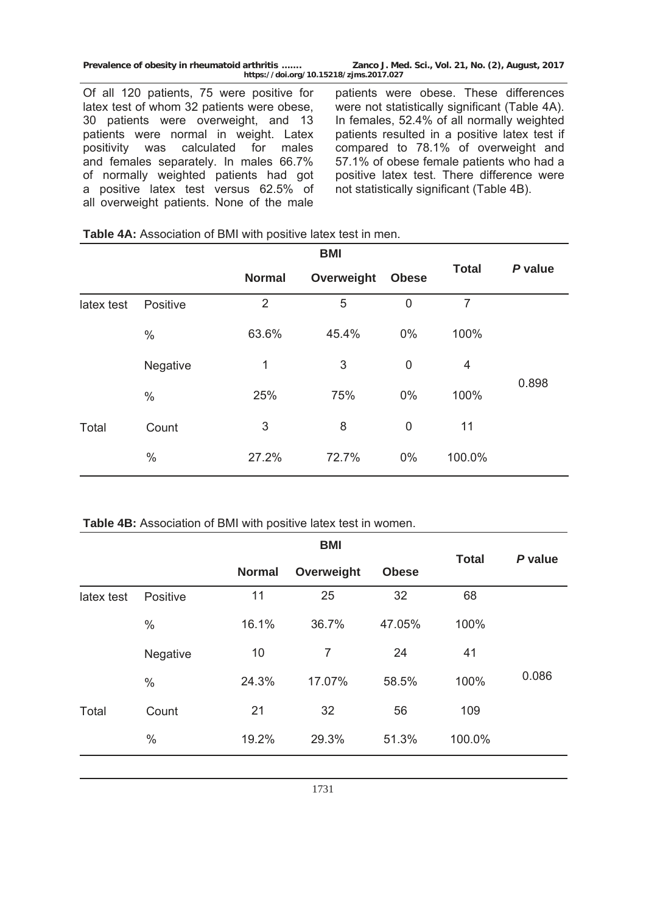Of all 120 patients, 75 were positive for latex test of whom 32 patients were obese, 30 patients were overweight, and 13 patients were normal in weight. Latex positivity was calculated for males and females separately. In males 66.7% of normally weighted patients had got a positive latex test versus 62.5% of all overweight patients. None of the male patients were obese. These differences were not statistically significant (Table 4A). In females, 52.4% of all normally weighted patients resulted in a positive latex test if compared to 78.1% of overweight and 57.1% of obese female patients who had a positive latex test. There difference were not statistically significant (Table 4B).

#### **Table 4A:** Association of BMI with positive latex test in men.

|            |          |               | <b>BMI</b> |              |                |         |
|------------|----------|---------------|------------|--------------|----------------|---------|
|            |          | <b>Normal</b> | Overweight | <b>Obese</b> | <b>Total</b>   | P value |
| latex test | Positive | 2             | 5          | $\mathbf 0$  | $\overline{7}$ |         |
|            | $\%$     | 63.6%         | 45.4%      | $0\%$        | 100%           |         |
|            | Negative | 1             | 3          | $\mathbf 0$  | 4              |         |
| Total      | $\%$     | 25%           | 75%        | $0\%$        | 100%           | 0.898   |
|            | Count    | 3             | 8          | 0            | 11             |         |
|            | $\%$     | 27.2%         | 72.7%      | $0\%$        | 100.0%         |         |

### **Table 4B:** Association of BMI with positive latex test in women.

|            |               |               | <b>BMI</b> |              |              |         |
|------------|---------------|---------------|------------|--------------|--------------|---------|
|            |               | <b>Normal</b> | Overweight | <b>Obese</b> | <b>Total</b> | P value |
| latex test | Positive      | 11            | 25         | 32           | 68           |         |
|            | $\%$          | 16.1%         | 36.7%      | 47.05%       | 100%         |         |
|            | Negative      | 10            | 7          | 24           | 41           |         |
| Total      | $\frac{0}{0}$ | 24.3%         | 17.07%     | 58.5%        | 100%         | 0.086   |
|            | Count         | 21            | 32         | 56           | 109          |         |
|            | $\%$          | 19.2%         | 29.3%      | 51.3%        | 100.0%       |         |
|            |               |               |            |              |              |         |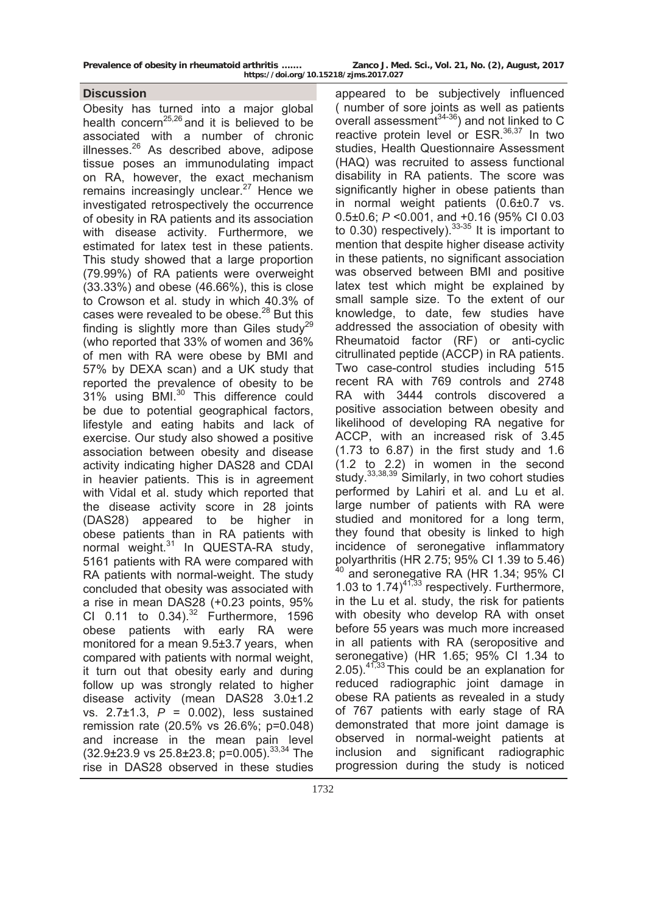## **Discussion**

Obesity has turned into a major global health concern<sup>25,26</sup> and it is believed to be associated with a number of chronic illnesses. $26$  As described above, adipose tissue poses an immunodulating impact on RA, however, the exact mechanism remains increasingly unclear. $27$  Hence we investigated retrospectively the occurrence of obesity in RA patients and its association with disease activity. Furthermore, we estimated for latex test in these patients. This study showed that a large proportion (79.99%) of RA patients were overweight (33.33%) and obese (46.66%), this is close to Crowson et al. study in which 40.3% of cases were revealed to be obese.<sup>28</sup> But this finding is slightly more than Giles study<sup>29</sup> (who reported that 33% of women and 36% of men with RA were obese by BMI and 57% by DEXA scan) and a UK study that reported the prevalence of obesity to be 31% using BMI.30 This difference could be due to potential geographical factors, lifestyle and eating habits and lack of exercise. Our study also showed a positive association between obesity and disease activity indicating higher DAS28 and CDAI in heavier patients. This is in agreement with Vidal et al. study which reported that the disease activity score in 28 joints (DAS28) appeared to be higher in obese patients than in RA patients with normal weight.<sup>31</sup> In QUESTA-RA study, 5161 patients with RA were compared with RA patients with normal-weight. The study concluded that obesity was associated with a rise in mean DAS28 (+0.23 points, 95% CI 0.11 to  $0.34$ ).<sup>32</sup> Furthermore, 1596 obese patients with early RA were monitored for a mean 9.5±3.7 years, when compared with patients with normal weight, it turn out that obesity early and during follow up was strongly related to higher disease activity (mean DAS28 3.0±1.2 vs. 2.7±1.3, *P* = 0.002), less sustained remission rate (20.5% vs 26.6%; p=0.048) and increase in the mean pain level  $(32.9\pm23.9 \text{ vs } 25.8\pm23.8; \text{ p=0.005})^{33,34}$  The rise in DAS28 observed in these studies

appeared to be subjectively influenced ( number of sore joints as well as patients overall assessment $34-36$ ) and not linked to C reactive protein level or  $ESR^{36,37}$  In two studies, Health Questionnaire Assessment (HAQ) was recruited to assess functional disability in RA patients. The score was significantly higher in obese patients than in normal weight patients (0.6±0.7 vs. 0.5±0.6; *P* <0.001, and +0.16 (95% CI 0.03 to 0.30) respectively).  $33-35$  It is important to mention that despite higher disease activity in these patients, no significant association was observed between BMI and positive latex test which might be explained by small sample size. To the extent of our knowledge, to date, few studies have addressed the association of obesity with Rheumatoid factor (RF) or anti-cyclic citrullinated peptide (ACCP) in RA patients. Two case-control studies including 515 recent RA with 769 controls and 2748 RA with 3444 controls discovered a positive association between obesity and likelihood of developing RA negative for ACCP, with an increased risk of 3.45 (1.73 to 6.87) in the first study and 1.6 (1.2 to 2.2) in women in the second study.33,38,39 Similarly, in two cohort studies performed by Lahiri et al. and Lu et al. large number of patients with RA were studied and monitored for a long term, they found that obesity is linked to high incidence of seronegative inflammatory polyarthritis (HR 2.75; 95% CI 1.39 to 5.46) <sup>40</sup> and seronegative RA (HR 1.34; 95% CI 1.03 to  $1.74$ <sup>41,33</sup> respectively. Furthermore, in the Lu et al. study, the risk for patients with obesity who develop RA with onset before 55 years was much more increased in all patients with RA (seropositive and seronegative) (HR 1.65; 95% CI 1.34 to  $2.05)$ <sup>41,33</sup> This could be an explanation for reduced radiographic joint damage in obese RA patients as revealed in a study of 767 patients with early stage of RA demonstrated that more joint damage is observed in normal-weight patients at inclusion and significant radiographic progression during the study is noticed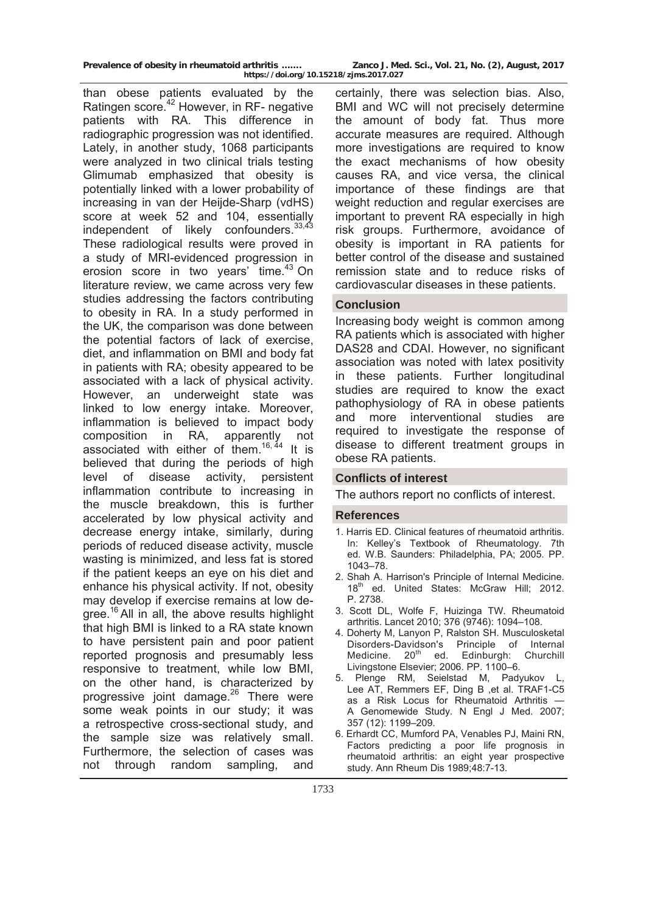than obese patients evaluated by the Ratingen score.<sup>42</sup> However, in RF- negative patients with RA. This difference in radiographic progression was not identified. Lately, in another study, 1068 participants were analyzed in two clinical trials testing Glimumab emphasized that obesity is potentially linked with a lower probability of increasing in van der Heijde-Sharp (vdHS) score at week 52 and 104, essentially independent of likely confounders.  $33,43$ These radiological results were proved in a study of MRI-evidenced progression in erosion score in two years' time.<sup>43</sup> On literature review, we came across very few studies addressing the factors contributing to obesity in RA. In a study performed in the UK, the comparison was done between the potential factors of lack of exercise, diet, and inflammation on BMI and body fat in patients with RA; obesity appeared to be associated with a lack of physical activity. However, an underweight state was linked to low energy intake. Moreover, inflammation is believed to impact body composition in RA, apparently not associated with either of them.<sup>16, 44</sup> It is believed that during the periods of high level of disease activity, persistent inflammation contribute to increasing in the muscle breakdown, this is further accelerated by low physical activity and decrease energy intake, similarly, during periods of reduced disease activity, muscle wasting is minimized, and less fat is stored if the patient keeps an eye on his diet and enhance his physical activity. If not, obesity may develop if exercise remains at low degree.<sup>16</sup> All in all, the above results highlight that high BMI is linked to a RA state known to have persistent pain and poor patient reported prognosis and presumably less responsive to treatment, while low BMI, on the other hand, is characterized by progressive joint damage.<sup>26</sup> There were some weak points in our study; it was a retrospective cross-sectional study, and the sample size was relatively small. Furthermore, the selection of cases was not through random sampling, and

certainly, there was selection bias. Also, BMI and WC will not precisely determine the amount of body fat. Thus more accurate measures are required. Although more investigations are required to know the exact mechanisms of how obesity causes RA, and vice versa, the clinical importance of these findings are that weight reduction and regular exercises are important to prevent RA especially in high risk groups. Furthermore, avoidance of obesity is important in RA patients for better control of the disease and sustained remission state and to reduce risks of cardiovascular diseases in these patients.

# **Conclusion**

Increasing body weight is common among RA patients which is associated with higher DAS28 and CDAI. However, no significant association was noted with latex positivity in these patients. Further longitudinal studies are required to know the exact pathophysiology of RA in obese patients and more interventional studies are required to investigate the response of disease to different treatment groups in obese RA patients.

## **Conflicts of interest**

The authors report no conflicts of interest.

#### **References**

- 1. Harris ED. Clinical features of rheumatoid arthritis. In: Kelley's Textbook of Rheumatology. 7th ed. W.B. Saunders: Philadelphia, PA; 2005. PP. 1043–78.
- 2. Shah A. Harrison's Principle of Internal Medicine. 18<sup>th</sup> ed. United States: McGraw Hill; 2012. P. 2738.
- 3. Scott DL, Wolfe F, Huizinga TW. Rheumatoid arthritis. Lancet 2010; 376 (9746): 1094–108.
- 4. Doherty M, Lanyon P, Ralston SH. Musculosketal Disorders-Davidson's Principle of Internal<br>Medicine. 20<sup>th</sup> ed. Edinburgh: Churchill Edinburgh: Churchill Livingstone Elsevier; 2006. PP. 1100–6.
- 5. Plenge RM, Seielstad M, Padyukov L, [Lee AT](http://www.ncbi.nlm.nih.gov/pubmed/?term=Lee%20AT%5BAuthor%5D&cauthor=true&cauthor_uid=17804836), [Remmers EF](http://www.ncbi.nlm.nih.gov/pubmed/?term=Remmers%20EF%5BAuthor%5D&cauthor=true&cauthor_uid=17804836), [Ding B](http://www.ncbi.nlm.nih.gov/pubmed/?term=Ding%20B%5BAuthor%5D&cauthor=true&cauthor_uid=17804836) ,et al. [TRAF1-C5](http://www.ncbi.nlm.nih.gov/pmc/articles/PMC2636867)  [as a Risk Locus for Rheumatoid Arthritis —](http://www.ncbi.nlm.nih.gov/pmc/articles/PMC2636867)  [A Genomewide Study](http://www.ncbi.nlm.nih.gov/pmc/articles/PMC2636867). N Engl J Med. 2007; 357 (12): 1199–209.
- 6. Erhardt CC, Mumford PA, Venables PJ, Maini RN, Factors predicting a poor life prognosis in rheumatoid arthritis: an eight year prospective study. Ann Rheum Dis 1989;48:7-13.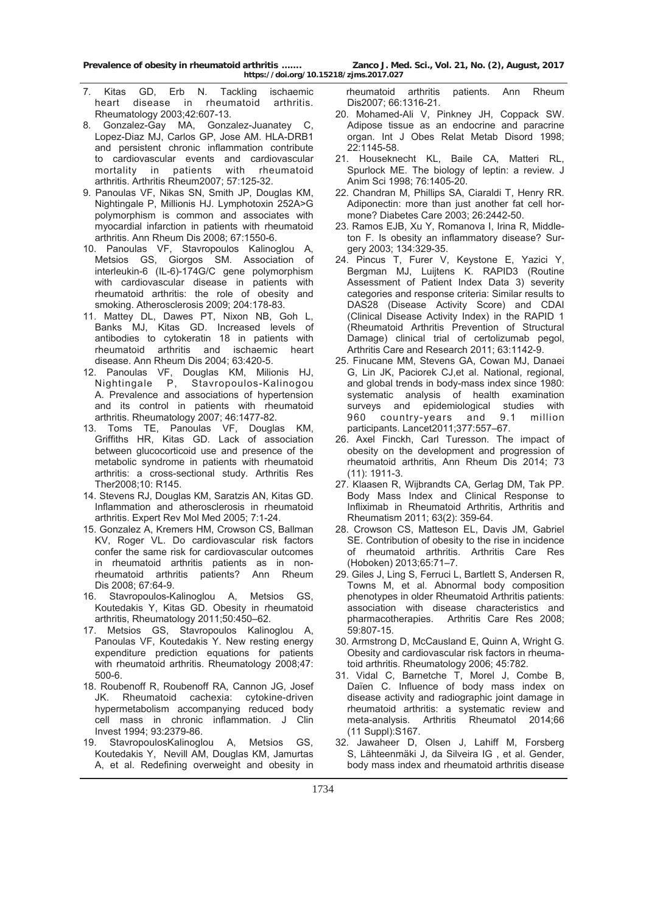- 7. Kitas GD, Erb N. Tackling ischaemic heart disease in rheumatoid arthritis. Rheumatology 2003;42:607-13.
- 8. Gonzalez-Gay MA, Gonzalez-Juanatey C, Lopez-Diaz MJ, Carlos GP, Jose AM. HLA-DRB1 and persistent chronic inflammation contribute to cardiovascular events and cardiovascular mortality in patients with rheumatoid arthritis. Arthritis Rheum2007; 57:125-32.
- 9. Panoulas VF, Nikas SN, Smith JP, Douglas KM, Nightingale P, Millionis HJ. Lymphotoxin 252A>G polymorphism is common and associates with myocardial infarction in patients with rheumatoid arthritis. Ann Rheum Dis 2008; 67:1550-6.
- 10. Panoulas VF, Stavropoulos Kalinoglou A, Metsios GS, Giorgos SM. Association of interleukin-6 (IL-6)-174G/C gene polymorphism with cardiovascular disease in patients with rheumatoid arthritis: the role of obesity and smoking. Atherosclerosis 2009; 204:178-83.
- 11. Mattey DL, Dawes PT, Nixon NB, Goh L, Banks MJ, Kitas GD. Increased levels of antibodies to cytokeratin 18 in patients with rheumatoid arthritis and ischaemic heart disease. Ann Rheum Dis 2004; 63:420-5.
- 12. Panoulas VF, Douglas KM, Milionis HJ, Nightingale P, Stavropoulos-Kalinogou A. Prevalence and associations of hypertension and its control in patients with rheumatoid arthritis. Rheumatology 2007; 46:1477-82.
- 13. Toms TE, Panoulas VF, Douglas KM, Griffiths HR, Kitas GD. Lack of association between glucocorticoid use and presence of the metabolic syndrome in patients with rheumatoid arthritis: a cross-sectional study. Arthritis Res Ther2008;10: R145.
- 14. Stevens RJ, Douglas KM, Saratzis AN, Kitas GD. Inflammation and atherosclerosis in rheumatoid arthritis. Expert Rev Mol Med 2005; 7:1-24.
- 15. Gonzalez A, Kremers HM, Crowson CS, Ballman KV, Roger VL. Do cardiovascular risk factors confer the same risk for cardiovascular outcomes in rheumatoid arthritis patients as in nonrheumatoid arthritis patients? Ann Rheum Dis 2008; 67:64-9.
- 16. Stavropoulos-Kalinoglou A, Metsios GS, Koutedakis Y, Kitas GD. Obesity in rheumatoid arthritis, Rheumatology 2011;50:450–62.
- 17. Metsios GS, Stavropoulos Kalinoglou A, Panoulas VF, Koutedakis Y. New resting energy expenditure prediction equations for patients with rheumatoid arthritis. Rheumatology 2008;47: 500-6.
- 18. Roubenoff R, Roubenoff RA, Cannon JG, Josef JK. Rheumatoid cachexia: cytokine-driven hypermetabolism accompanying reduced body cell mass in chronic inflammation. J Clin Invest 1994; 93:2379-86.
- 19. StavropoulosKalinoglou A, Metsios GS, Koutedakis Y, [Nevill AM](http://www.ncbi.nlm.nih.gov/pubmed/?term=Nevill%20AM%5BAuthor%5D&cauthor=true&cauthor_uid=17289757), [Douglas KM](http://www.ncbi.nlm.nih.gov/pubmed/?term=Douglas%20KM%5BAuthor%5D&cauthor=true&cauthor_uid=17289757), [Jamurtas](http://www.ncbi.nlm.nih.gov/pubmed/?term=Jamurtas%20A%5BAuthor%5D&cauthor=true&cauthor_uid=17289757)  [A](http://www.ncbi.nlm.nih.gov/pubmed/?term=Jamurtas%20A%5BAuthor%5D&cauthor=true&cauthor_uid=17289757), et al. Redefining overweight and obesity in

 rheumatoid arthritis patients. Ann Rheum Dis2007; 66:1316-21.

- 20. Mohamed-Ali V, Pinkney JH, Coppack SW. Adipose tissue as an endocrine and paracrine organ. Int J Obes Relat Metab Disord 1998; 22:1145-58.
- 21. Houseknecht KL, Baile CA, Matteri RL, Spurlock ME. The biology of leptin: a review. J Anim Sci 1998; 76:1405-20.
- 22. Chandran M, Phillips SA, Ciaraldi T, Henry RR. Adiponectin: more than just another fat cell hormone? Diabetes Care 2003; 26:2442-50.
- 23. Ramos EJB, Xu Y, Romanova I, Irina R, Middleton F. Is obesity an inflammatory disease? Surgery 2003; 134:329-35.
- 24. Pincus T, Furer V, Keystone E, Yazici Y, Bergman MJ, Luijtens K. RAPID3 (Routine Assessment of Patient Index Data 3) severity categories and response criteria: Similar results to DAS28 (Disease Activity Score) and CDAI (Clinical Disease Activity Index) in the RAPID 1 (Rheumatoid Arthritis Prevention of Structural Damage) clinical trial of certolizumab pegol, Arthritis Care and Research 2011; 63:1142-9.
- 25. Finucane MM, Stevens GA, Cowan MJ, [Danaei](http://www.ncbi.nlm.nih.gov/pubmed/?term=Danaei%20G%5BAuthor%5D&cauthor=true&cauthor_uid=21295846)  [G](http://www.ncbi.nlm.nih.gov/pubmed/?term=Danaei%20G%5BAuthor%5D&cauthor=true&cauthor_uid=21295846), [Lin JK](http://www.ncbi.nlm.nih.gov/pubmed/?term=Lin%20JK%5BAuthor%5D&cauthor=true&cauthor_uid=21295846), [Paciorek CJ](http://www.ncbi.nlm.nih.gov/pubmed/?term=Paciorek%20CJ%5BAuthor%5D&cauthor=true&cauthor_uid=21295846),et al. National, regional, and global trends in body-mass index since 1980: systematic analysis of health examination surveys and epidemiological studies with 960 country-years and 9.1 million participants. Lancet2011;377:557–67.
- 26. [Axel Finckh](http://ard.bmj.com/search?author1=Axel+Finckh&sortspec=date&submit=Submit), [Carl Turesson](http://ard.bmj.com/search?author1=Carl+Turesson&sortspec=date&submit=Submit). The impact of obesity on the development and progression of rheumatoid arthritis, Ann Rheum Dis 2014; 73 (11): 1911-3.
- 27. Klaasen R, Wijbrandts CA, Gerlag DM, Tak PP. Body Mass Index and Clinical Response to Infliximab in Rheumatoid Arthritis, Arthritis and Rheumatism 2011; 63(2): 359-64.
- 28. Crowson CS, Matteson EL, Davis JM, Gabriel SE. Contribution of obesity to the rise in incidence of rheumatoid arthritis. Arthritis Care Res (Hoboken) 2013;65:71–7.
- 29. Giles J, Ling S, Ferruci L, Bartlett S, Andersen R, Towns M, et al. Abnormal body composition phenotypes in older Rheumatoid Arthritis patients: association with disease characteristics and pharmacotherapies. Arthritis Care Res 2008; 59:807-15.
- 30. Armstrong D, McCausland E, Quinn A, Wright G. Obesity and cardiovascular risk factors in rheumatoid arthritis. Rheumatology 2006; 45:782.
- 31. Vidal C, Barnetche T, Morel J, Combe B, Daïen C. Influence of body mass index on disease activity and radiographic joint damage in rheumatoid arthritis: a systematic review and meta-analysis. Arthritis Rheumatol 2014;66 (11 Suppl):S167.
- 32. Jawaheer D, Olsen J, Lahiff M, [Forsberg](http://www.ncbi.nlm.nih.gov/pubmed/?term=Forsberg%20S%5BAuthor%5D&cauthor=true&cauthor_uid=20810033)  [S](http://www.ncbi.nlm.nih.gov/pubmed/?term=Forsberg%20S%5BAuthor%5D&cauthor=true&cauthor_uid=20810033), [Lähteenmäki J](http://www.ncbi.nlm.nih.gov/pubmed/?term=L%C3%A4hteenm%C3%A4ki%20J%5BAuthor%5D&cauthor=true&cauthor_uid=20810033), [da Silveira IG](http://www.ncbi.nlm.nih.gov/pubmed/?term=da%20Silveira%20IG%5BAuthor%5D&cauthor=true&cauthor_uid=20810033) , et al. Gender, body mass index and rheumatoid arthritis disease